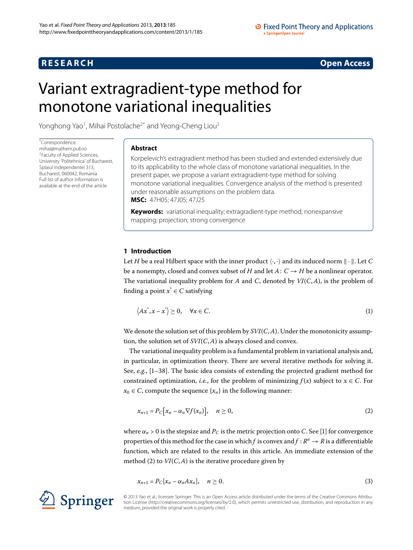## **R E S E A R C H Open Access**

# <span id="page-0-0"></span>Variant extragradient-type method for monotone variational inequalities

Yonghong Yao<sup>[1](#page-12-0)</sup>, Mihai Postolache<sup>2[\\*](#page-0-0)</sup> and Yeong-Cheng Liou<sup>[3](#page-12-2)</sup>

\* Correspondence: [mihai@mathem.pub.ro](mailto:mihai@mathem.pub.ro) 2Faculty of Applied Sciences, University 'Politehnica' of Bucharest, Splaiul Independentei 313, Bucharest, 060042, Romania Full list of author information is available at the end of the article

#### **Abstract**

Korpelevich's extragradient method has been studied and extended extensively due to its applicability to the whole class of monotone variational inequalities. In the present paper, we propose a variant extragradient-type method for solving monotone variational inequalities. Convergence analysis of the method is presented under reasonable assumptions on the problem data. **MSC:** 47H05; 47J05; 47J25

**Keywords:** variational inequality; extragradient-type method; nonexpansive mapping; projection; strong convergence

### **1 Introduction**

Let *H* be a real Hilbert space with the inner product  $\langle \cdot, \cdot \rangle$  and its induced norm  $\|\cdot\|$ . Let *C* be a nonempty, closed and convex subset of *H* and let  $A: C \rightarrow H$  be a nonlinear operator. The variational inequality problem for *A* and *C*, denoted by *VI*(*C*,*A*), is the problem of finding a point  $x^* \in C$  satisfying

<span id="page-0-3"></span>
$$
\langle Ax^*, x - x^* \rangle \ge 0, \quad \forall x \in C. \tag{1}
$$

We denote the solution set of this problem by  $SVI(C, A)$ . Under the monotonicity assumption, the solution set of *SVI*(*C*,*A*) is always closed and convex.

<span id="page-0-1"></span>The variational inequality problem is a fundamental problem in variational analysis and, in particular, in optimization theory. There are several iterative methods for solving it. See,  $e.g.,$   $[1-38]$  $[1-38]$ . The basic idea consists of extending the projected gradient method for constrained optimization, *i.e.*, for the problem of minimizing  $f(x)$  subject to  $x \in C$ . For  $x_0 \in C$ , compute the sequence  $\{x_n\}$  in the following manner:

$$
x_{n+1} = P_C[x_n - \alpha_n \nabla f(x_n)], \quad n \ge 0,
$$
\n<sup>(2)</sup>

<span id="page-0-2"></span>where  $\alpha_n > 0$  is the stepsize and  $P_C$  is the metric projection onto *C*. See [1[\]](#page-13-0) for convergence properties of this method for the case in which *f* is convex and  $f : R^n \to R$  is a differentiable function, which are related to the results in this article. An immediate extension of the method (2[\)](#page-0-1) to  $VI(C, A)$  is the iterative procedure given by

$$
x_{n+1} = P_C[x_n - \alpha_n A x_n], \quad n \ge 0.
$$
\n<sup>(3)</sup>

© 2013 Yao et al.; licensee Springer. This is an Open Access article distributed under the terms of the Creative Commons Attribution License ([http://creativecommons.org/licenses/by/2.0\)](http://creativecommons.org/licenses/by/2.0), which permits unrestricted use, distribution, and reproduction in any medium, provided the original work is properly cited.

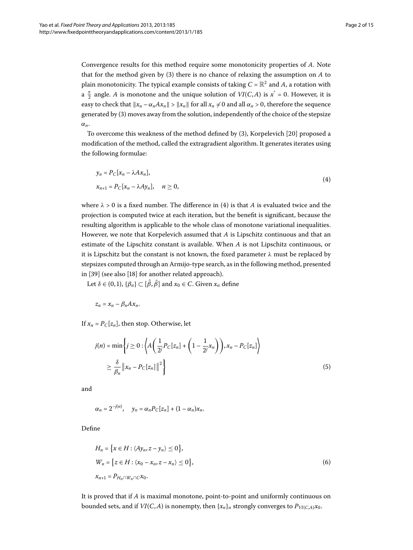Convergence results for this method require some monotonicity properties of *A*. Note that for the method given by  $(3)$  $(3)$  there is no chance of relaxing the assumption on *A* to plain monotonicity. The typical example consists of taking  $C = \mathbb{R}^2$  and A, a rotation with a  $\frac{\pi}{2}$  angle. *A* is monotone and the unique solution of *VI*(*C*,*A*) is  $x^* = 0$ . However, it is easy to check that  $||x_n - \alpha_n A x_n|| > ||x_n||$  for all  $x_n \neq 0$  and all  $\alpha_n > 0$ , therefore the sequence generated by [\(](#page-0-2)3) moves away from the solution, independently of the choice of the stepsize *αn*.

To overcome this weakness of the method defined by  $(3)$  $(3)$ , Korpelevich  $[20]$  proposed a modification of the method, called the extragradient algorithm. It generates iterates using the following formulae:

<span id="page-1-0"></span>
$$
y_n = P_C[x_n - \lambda Ax_n],
$$
  
\n
$$
x_{n+1} = P_C[x_n - \lambda Ay_n], \quad n \ge 0,
$$
\n(4)

where  $\lambda > 0$  is a fixed number. The difference in (4) is that *A* is evaluated twice and the projection is computed twice at each iteration, but the benefit is significant, because the resulting algorithm is applicable to the whole class of monotone variational inequalities. However, we note that Korpelevich assumed that *A* is Lipschitz continuous and that an estimate of the Lipschitz constant is available. When *A* is not Lipschitz continuous, or it is Lipschitz but the constant is not known, the fixed parameter  $\lambda$  must be replaced by stepsizes computed through an Armijo-type search, as in the following method, presented in [\[](#page-13-4)39] (see also [18] for another related approach).

Let  $\delta \in (0, 1)$ ,  $\{\beta_n\} \subset [\hat{\beta}, \bar{\beta}]$  and  $x_0 \in C$ . Given  $x_n$  define

$$
z_n = x_n - \beta_n A x_n.
$$

If  $x_n = P_C[z_n]$ , then stop. Otherwise, let

$$
j(n) = \min\left\{j \ge 0 : \left\langle A\left(\frac{1}{2^j}P_C[z_n] + \left(1 - \frac{1}{2^j}x_n\right)\right), x_n - P_C[z_n]\right\rangle\right\}
$$
  

$$
\ge \frac{\delta}{\beta_n} ||x_n - P_C[z_n]||^2\right\}
$$
(5)

and

<span id="page-1-1"></span>
$$
\alpha_n = 2^{-j(n)}, \quad y_n = \alpha_n P_C[z_n] + (1 - \alpha_n)x_n.
$$

Define

$$
H_n = \{x \in H : \langle Ay_n, z - y_n \rangle \le 0\},\
$$
  
\n
$$
W_n = \{z \in H : \langle x_0 - x_n, z - x_n \rangle \le 0\},\
$$
  
\n
$$
x_{n+1} = P_{H_n \cap W_n \cap C} x_0.
$$
\n(6)

It is proved that if *A* is maximal monotone, point-to-point and uniformly continuous on bounded sets, and if *VI*(*C*,*A*) is nonempty, then  $\{x_n\}_n$  strongly converges to  $P_{VI(C,A)}x_0$ .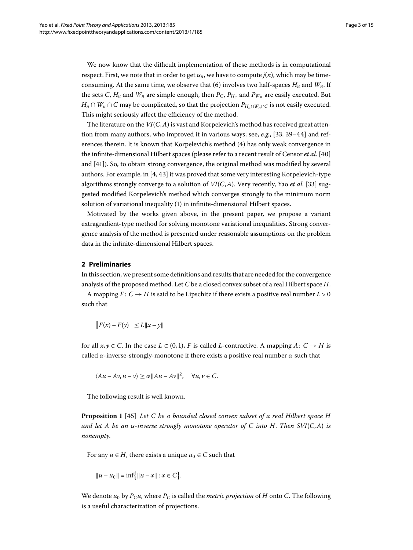We now know that the difficult implementation of these methods is in computational respect. First, we note that in order to get  $\alpha_n$ , we have to compute  $j(n)$ , which may be timeconsuming. At the same time, we observe that (6) involves two half-spaces  $H_n$  and  $W_n$ . If the sets *C*,  $H_n$  and  $W_n$  are simple enough, then  $P_C$ ,  $P_{H_n}$  and  $P_{W_n}$  are easily executed. But *H<sub>n</sub>* ∩ *W<sub>n</sub>* ∩ *C* may be complicated, so that the projection  $P_{H_n \cap W_n \cap C}$  is not easily executed. This might seriously affect the efficiency of the method.

The literature on the  $VI(C, A)$  is vast and Korpelevich's method has received great attention from many authors, who improved it in various ways; see,  $e, e, g$ ., [\[](#page-13-5)33, 39–44[\]](#page-14-0) and references therein. It is known that Korpelevich's method (4) has only weak convergence in the infinite-dimensional Hilbert spaces (please refer to a recent result of Censor *et al.* [\[](#page-14-1)40] and  $[41]$ ). So, to obtain strong convergence, the original method was modified by several authors. For example[,](#page-13-6) in  $[4, 43]$  $[4, 43]$  it was proved that some very interesting Korpelevich-type algorithms strongly converge to a solution of  $VI(C, A)$ . Very recently, Yao *et al.* [\[](#page-13-5)33] suggested modified Korpelevich's method which converges strongly to the minimum norm solution of variational inequality [\(](#page-0-3)1) in infinite-dimensional Hilbert spaces.

Motivated by the works given above, in the present paper, we propose a variant extragradient-type method for solving monotone variational inequalities. Strong convergence analysis of the method is presented under reasonable assumptions on the problem data in the infinite-dimensional Hilbert spaces.

#### **2 Preliminaries**

In this section, we present some definitions and results that are needed for the convergence analysis of the proposed method. Let *C* be a closed convex subset of a real Hilbert space *H*.

A mapping  $F: C \to H$  is said to be Lipschitz if there exists a positive real number  $L > 0$ such that

$$
\|F(x) - F(y)\| \le L\|x - y\|
$$

for all  $x, y \in C$ . In the case  $L \in (0, 1)$ , *F* is called *L*-contractive. A mapping *A*:  $C \rightarrow H$  is called  $\alpha$ -inverse-strongly-monotone if there exists a positive real number  $\alpha$  such that

$$
\langle Au - Av, u - v \rangle \ge \alpha ||Au - Av||^2, \quad \forall u, v \in C.
$$

The following result is well known.

**Proposition 1** [45] *Let C be a bounded closed convex subset of a real Hilbert space H and let A be an α-inverse strongly monotone operator of C into H*. *Then SVI*(*C*,*A*) *is nonempty*.

For any  $u \in H$ , there exists a unique  $u_0 \in C$  such that

 $||u - u_0|| = \inf \{ ||u - x|| : x \in C \}.$ 

We denote  $u_0$  by  $P_C u$ , where  $P_C$  is called the *metric projection* of *H* onto *C*. The following is a useful characterization of projections.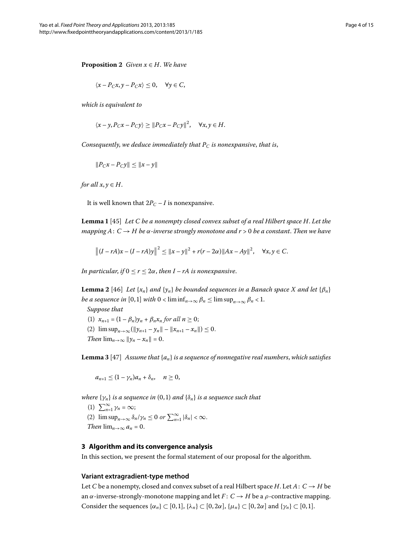**Proposition 2** *Given*  $x \in H$ *. We have* 

$$
\langle x - P_C x, y - P_C x \rangle \le 0, \quad \forall y \in C,
$$

*which is equivalent to*

$$
\langle x-y, P_C x - P_C y \rangle \ge ||P_C x - P_C y||^2, \quad \forall x, y \in H.
$$

<span id="page-3-0"></span>*Consequently, we deduce immediately that*  $P_C$  *is nonexpansive, that is,* 

$$
||P_Cx - P_Cy|| \le ||x - y||
$$

*for all*  $x, y \in H$ .

It is well known that  $2P_C - I$  is nonexpansive.

<span id="page-3-1"></span>**Lemma**  [] *Let C be a nonempty closed convex subset of a real Hilbert space H*. *Let the mapping A*: *C* → *H be α-inverse strongly monotone and r* > *be a constant*. *Then we have*

$$
||(I - rA)x - (I - rA)y||^{2} \le ||x - y||^{2} + r(r - 2\alpha)||Ax - Ay||^{2}, \quad \forall x, y \in C.
$$

*In particular, if*  $0 \le r \le 2\alpha$ *, then I – rA is nonexpansive.* 

<span id="page-3-2"></span>**Lemma 2** [\[](#page-14-5)46] *Let*  $\{x_n\}$  *and*  $\{y_n\}$  *be bounded sequences in a Banach space X and let*  $\{\beta_n\}$ *be a sequence in* [0,1] *with*  $0 < \liminf_{n \to \infty} \beta_n \le \limsup_{n \to \infty} \beta_n < 1$ .

*Suppose that* (1)  $x_{n+1} = (1 - \beta_n)y_n + \beta_n x_n$  *for all*  $n \ge 0$ ; (2)  $\limsup_{n\to\infty} (\|y_{n+1} - y_n\| - \|x_{n+1} - x_n\|) \leq 0.$ *Then*  $\lim_{n\to\infty}$   $||y_n - x_n|| = 0$ .

**Lemma 3** [\[](#page-14-6)47] Assume that  $\{a_n\}$  is a sequence of nonnegative real numbers, which satisfies

$$
a_{n+1}\leq (1-\gamma_n)a_n+\delta_n,\quad n\geq 0,
$$

*where*  $\{\gamma_n\}$  *is a sequence in*  $(0,1)$  *and*  $\{\delta_n\}$  *is a sequence such that* 

(1) 
$$
\sum_{n=1}^{\infty} \gamma_n = \infty
$$
;  
\n(2)  $\limsup_{n \to \infty} \delta_n / \gamma_n \le 0$  or  $\sum_{n=1}^{\infty} |\delta_n| < \infty$ .  
\nThen  $\lim_{n \to \infty} a_n = 0$ .

#### **3 Algorithm and its convergence analysis**

In this section, we present the formal statement of our proposal for the algorithm.

#### **Variant extragradient-type method**

Let *C* be a nonempty, closed and convex subset of a real Hilbert space *H*. Let  $A: C \rightarrow H$  be an  $\alpha$ -inverse-strongly-monotone mapping and let  $F: C \rightarrow H$  be a  $\rho$ -contractive mapping. Consider the sequences  $\{\alpha_n\} \subset [0,1], \{\lambda_n\} \subset [0,2\alpha], \{\mu_n\} \subset [0,2\alpha]$  and  $\{\gamma_n\} \subset [0,1].$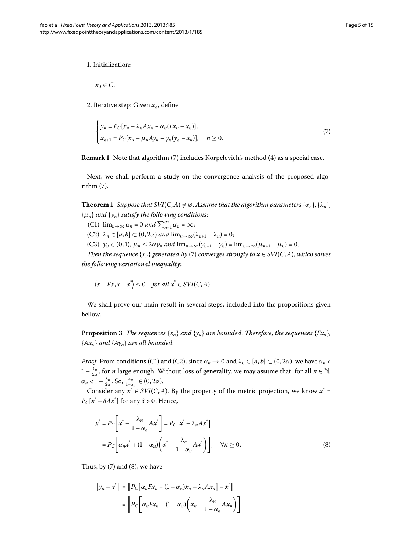<span id="page-4-0"></span>. Initialization:

 $x_0 \in C$ .

2. Iterative step: Given  $x_n$ , define

$$
\begin{cases}\n y_n = P_C[x_n - \lambda_n A x_n + \alpha_n (F x_n - x_n)], \\
 x_{n+1} = P_C[x_n - \mu_n A y_n + \gamma_n (y_n - x_n)], \quad n \ge 0.\n\end{cases}
$$
\n(7)

<span id="page-4-3"></span>**Remark 1** Note that algorithm (7[\)](#page-4-0) includes Korpelevich's method (4) as a special case.

Next, we shall perform a study on the convergence analysis of the proposed algo- $rithm(7)$  $rithm(7)$  $rithm(7)$ .

**Theorem 1** Suppose that SVI(C, A)  $\neq \emptyset$ . Assume that the algorithm parameters { $\alpha_n$ }, { $\lambda_n$ },  ${ \mu_n }$  *and*  ${ \gamma_n }$  *satisfy the following conditions:* 

- (C1)  $\lim_{n\to\infty} \alpha_n = 0$  and  $\sum_{n=1}^{\infty} \alpha_n = \infty;$
- $(C2)$   $\lambda_n \in [a, b] \subset (0, 2\alpha)$  *and*  $\lim_{n\to\infty} (\lambda_{n+1} \lambda_n) = 0;$
- (C3)  $\gamma_n \in (0,1)$ ,  $\mu_n \leq 2\alpha \gamma_n$  and  $\lim_{n\to\infty} (\gamma_{n+1} \gamma_n) = \lim_{n\to\infty} (\mu_{n+1} \mu_n) = 0$ .

<span id="page-4-2"></span>*Then the sequence*  $\{x_n\}$  *generated by* (7[\)](#page-4-0) *converges strongly to*  $\tilde{x} \in SVI(C, A)$ *, which solves the following variational inequality*:

$$
\langle \tilde{x} - F\tilde{x}, \tilde{x} - x^* \rangle \le 0 \quad \text{for all } x^* \in \text{SVI}(C, A).
$$

We shall prove our main result in several steps, included into the propositions given bellow.

**Proposition 3** The sequences  $\{x_n\}$  and  $\{y_n\}$  are bounded. Therefore, the sequences  $\{Fx_n\}$ , {*Axn*} *and* {*Ayn*} *are all bounded*.

*Proof* From conditions (C1) and (C2), since  $\alpha_n \to 0$  and  $\lambda_n \in [a, b] \subset (0, 2\alpha)$ , we have  $\alpha_n <$  $1-\frac{\lambda_n}{2\alpha}$ , for *n* large enough. Without loss of generality, we may assume that, for all  $n \in \mathbb{N}$ ,  $\alpha_n < 1 - \frac{\lambda_n}{2\alpha}$ . So,  $\frac{\lambda_n}{1 - \alpha_n} \in (0, 2\alpha)$ .

Consider any  $x^* \in SVI(C, A)$ . By the property of the metric projection, we know  $x^* =$  $P_C[x^* - \delta Ax^*]$  for any  $\delta > 0.$  Hence,

<span id="page-4-1"></span>
$$
x^* = P_C \left[ x^* - \frac{\lambda_n}{1 - \alpha_n} A x^* \right] = P_C \left[ x^* - \lambda_n A x^* \right]
$$
  
= 
$$
P_C \left[ \alpha_n x^* + (1 - \alpha_n) \left( x^* - \frac{\lambda_n}{1 - \alpha_n} A x^* \right) \right], \quad \forall n \ge 0.
$$
 (8)

Thus, by  $(7)$  $(7)$  and  $(8)$ , we have

$$
\|y_n - x^*\| = \|P_C[\alpha_n F x_n + (1 - \alpha_n)x_n - \lambda_n Ax_n] - x^*\|
$$
  
= 
$$
\|P_C[\alpha_n F x_n + (1 - \alpha_n)\left(x_n - \frac{\lambda_n}{1 - \alpha_n}Ax_n\right)\]
$$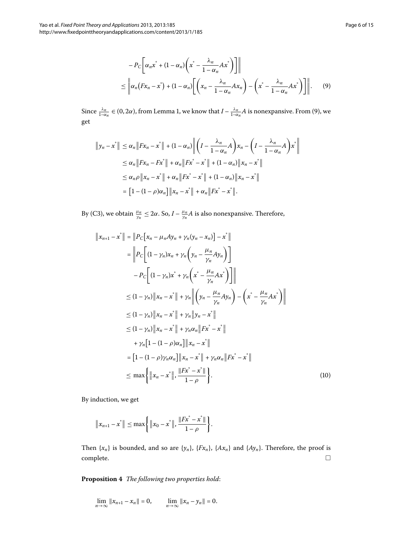<span id="page-5-0"></span>
$$
-P_C\bigg[\alpha_n x^* + (1 - \alpha_n) \bigg(x^* - \frac{\lambda_n}{1 - \alpha_n} A x^*\bigg)\bigg]\bigg\|
$$
  

$$
\leq \bigg\| \alpha_n \big( F x_n - x^* \big) + (1 - \alpha_n) \bigg[ \bigg(x_n - \frac{\lambda_n}{1 - \alpha_n} A x_n \bigg) - \bigg(x^* - \frac{\lambda_n}{1 - \alpha_n} A x^* \bigg) \bigg] \bigg\|.
$$
 (9)

Since  $\frac{\lambda_n}{1-\alpha_n} \in (0, 2\alpha)$  $\frac{\lambda_n}{1-\alpha_n} \in (0, 2\alpha)$  $\frac{\lambda_n}{1-\alpha_n} \in (0, 2\alpha)$ , from Lemma 1, we know that  $I - \frac{\lambda_n}{1-\alpha_n} A$  is nonexpansive. From [\(](#page-5-0)9), we get

$$
||y_n - x^*|| \le \alpha_n ||Fx_n - x^*|| + (1 - \alpha_n) || \left( I - \frac{\lambda_n}{1 - \alpha_n} A \right) x_n - \left( I - \frac{\lambda_n}{1 - \alpha_n} A \right) x^*||
$$
  
\n
$$
\le \alpha_n ||Fx_n - Fx^*|| + \alpha_n ||Fx^* - x^*|| + (1 - \alpha_n) ||x_n - x^*||
$$
  
\n
$$
\le \alpha_n \rho ||x_n - x^*|| + \alpha_n ||Fx^* - x^*|| + (1 - \alpha_n) ||x_n - x^*||
$$
  
\n
$$
= [1 - (1 - \rho)\alpha_n] ||x_n - x^*|| + \alpha_n ||Fx^* - x^*||.
$$

By (C3), we obtain  $\frac{\mu_n}{\gamma_n} \leq 2\alpha$ . So,  $I - \frac{\mu_n}{\gamma_n} A$  is also nonexpansive. Therefore,

<span id="page-5-1"></span>
$$
||x_{n+1} - x^*|| = ||P_C[x_n - \mu_n A y_n + \gamma_n (y_n - x_n)] - x^*||
$$
  
\n
$$
= ||P_C[(1 - \gamma_n)x_n + \gamma_n (y_n - \frac{\mu_n}{\gamma_n} A y_n)]
$$
  
\n
$$
- P_C[(1 - \gamma_n)x^* + \gamma_n (x^* - \frac{\mu_n}{\gamma_n} A x^*)]]
$$
  
\n
$$
\leq (1 - \gamma_n) ||x_n - x^*|| + \gamma_n ||(y_n - \frac{\mu_n}{\gamma_n} A y_n) - (x^* - \frac{\mu_n}{\gamma_n} A x^*)||
$$
  
\n
$$
\leq (1 - \gamma_n) ||x_n - x^*|| + \gamma_n ||y_n - x^*||
$$
  
\n
$$
\leq (1 - \gamma_n) ||x_n - x^*|| + \gamma_n \alpha_n ||Fx^* - x^*||
$$
  
\n
$$
+ \gamma_n [1 - (1 - \rho) \alpha_n] ||x_n - x^*|| + \gamma_n \alpha_n ||Fx^* - x^*||
$$
  
\n
$$
= [1 - (1 - \rho) \gamma_n \alpha_n] ||x_n - x^*|| + \gamma_n \alpha_n ||Fx^* - x^*||
$$
  
\n
$$
\leq \max \{ ||x_n - x^*||, \frac{||Fx^* - x^*||}{1 - \rho} \}.
$$
 (10)

By induction, we get

$$
||x_{n+1}-x^*|| \leq \max\left\{||x_0-x^*||, \frac{||Fx^*-x^*||}{1-\rho}\right\}.
$$

Then  $\{x_n\}$  is bounded, and so are  $\{y_n\}$ ,  $\{Fx_n\}$ ,  $\{Ax_n\}$  and  $\{Ay_n\}$ . Therefore, the proof is  $\Box$  $\Box$ 

**Proposition**  *The following two properties hold*:

$$
\lim_{n \to \infty} \|x_{n+1} - x_n\| = 0, \qquad \lim_{n \to \infty} \|x_n - y_n\| = 0.
$$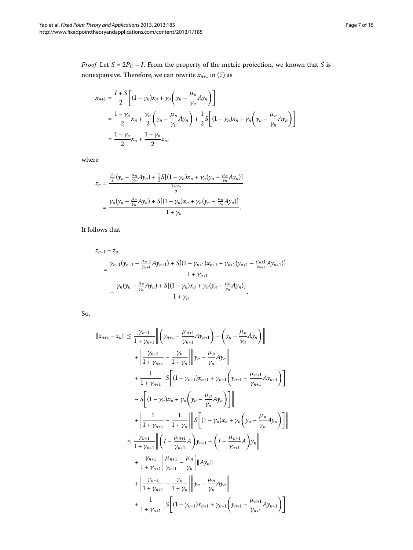$$
x_{n+1} = \frac{I+S}{2} \left[ (1 - \gamma_n)x_n + \gamma_n \left( y_n - \frac{\mu_n}{\gamma_n} Ay_n \right) \right]
$$
  
= 
$$
\frac{1-\gamma_n}{2} x_n + \frac{\gamma_n}{2} \left( y_n - \frac{\mu_n}{\gamma_n} Ay_n \right) + \frac{1}{2} S \left[ (1 - \gamma_n)x_n + \gamma_n \left( y_n - \frac{\mu_n}{\gamma_n} Ay_n \right) \right]
$$
  
= 
$$
\frac{1-\gamma_n}{2} x_n + \frac{1+\gamma_n}{2} z_n,
$$

where

$$
z_n = \frac{\frac{\gamma_n}{2}(y_n - \frac{\mu_n}{\gamma_n}Ay_n) + \frac{1}{2}S[(1 - \gamma_n)x_n + \gamma_n(y_n - \frac{\mu_n}{\gamma_n}Ay_n)]}{\frac{1 + \gamma_n}{2}}
$$
  
= 
$$
\frac{\gamma_n(y_n - \frac{\mu_n}{\gamma_n}Ay_n) + S[(1 - \gamma_n)x_n + \gamma_n(y_n - \frac{\mu_n}{\gamma_n}Ay_n)]}{1 + \gamma_n}.
$$

It follows that

$$
z_{n+1} - z_n
$$
  
= 
$$
\frac{\gamma_{n+1}(\gamma_{n+1} - \frac{\mu_{n+1}}{\gamma_{n+1}}Ay_{n+1}) + S[(1 - \gamma_{n+1})x_{n+1} + \gamma_{n+1}(\gamma_{n+1} - \frac{\mu_{n+1}}{\gamma_{n+1}}Ay_{n+1})]}{1 + \gamma_{n+1}}
$$
  
- 
$$
\frac{\gamma_n(\gamma_n - \frac{\mu_n}{\gamma_n}Ay_n) + S[(1 - \gamma_n)x_n + \gamma_n(\gamma_n - \frac{\mu_n}{\gamma_n}Ay_n)]}{1 + \gamma_n}.
$$

So,

$$
||z_{n+1} - z_n|| \leq \frac{\gamma_{n+1}}{1 + \gamma_{n+1}} \left\| \left( y_{n+1} - \frac{\mu_{n+1}}{\gamma_{n+1}} A y_{n+1} \right) - \left( y_n - \frac{\mu_n}{\gamma_n} A y_n \right) \right\|
$$
  
+ 
$$
\left\| \frac{\gamma_{n+1}}{1 + \gamma_{n+1}} - \frac{\gamma_n}{1 + \gamma_n} \right\| \left\| y_n - \frac{\mu_n}{\gamma_n} A y_n \right\|
$$
  
+ 
$$
\frac{1}{1 + \gamma_{n+1}} \left\| S \left[ (1 - \gamma_{n+1}) x_{n+1} + \gamma_{n+1} \left( y_{n+1} - \frac{\mu_{n+1}}{\gamma_{n+1}} A y_{n+1} \right) \right] \right\|
$$
  
- 
$$
S \left[ (1 - \gamma_n) x_n + \gamma_n \left( y_n - \frac{\mu_n}{\gamma_n} A y_n \right) \right] \left\|
$$
  
+ 
$$
\left\| \frac{1}{1 + \gamma_{n+1}} - \frac{1}{1 + \gamma_n} \right\| \left\| S \left[ (1 - \gamma_n) x_n + \gamma_n \left( y_n - \frac{\mu_n}{\gamma_n} A y_n \right) \right] \right\|
$$
  

$$
\leq \frac{\gamma_{n+1}}{1 + \gamma_{n+1}} \left\| \left( I - \frac{\mu_{n+1}}{\gamma_{n+1}} A \right) y_{n+1} - \left( I - \frac{\mu_{n+1}}{\gamma_{n+1}} A \right) y_n \right\|
$$
  
+ 
$$
\frac{\gamma_{n+1}}{1 + \gamma_{n+1}} \left\| \frac{\mu_{n+1}}{\gamma_{n+1}} - \frac{\mu_n}{\gamma_n} \right\| \|Ay_n\|
$$
  
+ 
$$
\left\| \frac{\gamma_{n+1}}{1 + \gamma_{n+1}} - \frac{\gamma_n}{1 + \gamma_n} \right\| y_n - \frac{\mu_n}{\gamma_n} Ay_n \right\|
$$
  
+ 
$$
\frac{1}{1 + \gamma_{n+1}} \left\| S \left[ (1 - \gamma_{n+1}) x_{n+1} + \gamma_{n+1} \left( y_{n+1} - \frac{\mu_{n+1}}{\gamma_{n+1}} A y_{n+1} \right) \right]
$$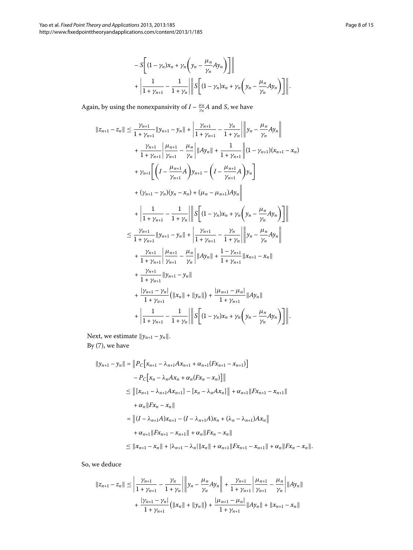$$
-S\bigg[(1-\gamma_n)x_n+\gamma_n\bigg(y_n-\frac{\mu_n}{\gamma_n}Ay_n\bigg)\bigg]\bigg|
$$
  
+ 
$$
\bigg|\frac{1}{1+\gamma_{n+1}}-\frac{1}{1+\gamma_n}\bigg|\bigg|S\bigg[(1-\gamma_n)x_n+\gamma_n\bigg(y_n-\frac{\mu_n}{\gamma_n}Ay_n\bigg)\bigg]\bigg|.
$$

Again, by using the nonexpansivity of  $I - \frac{\mu_n}{\gamma_n} A$  and *S*, we have

$$
||z_{n+1} - z_n|| \leq \frac{\gamma_{n+1}}{1 + \gamma_{n+1}} ||y_{n+1} - y_n|| + \left| \frac{\gamma_{n+1}}{1 + \gamma_{n+1}} - \frac{\gamma_n}{1 + \gamma_n} \right| ||y_n - \frac{\mu_n}{\gamma_n} Ay_n||
$$
  
+ 
$$
\frac{\gamma_{n+1}}{1 + \gamma_{n+1}} \left| \frac{\mu_{n+1}}{\gamma_{n+1}} - \frac{\mu_n}{\gamma_n} ||A y_n|| + \frac{1}{1 + \gamma_{n+1}} ||(1 - \gamma_{n+1})(x_{n+1} - x_n)|
$$
  
+ 
$$
\gamma_{n+1} \left[ \left( I - \frac{\mu_{n+1}}{\gamma_{n+1}} A \right) y_{n+1} - \left( I - \frac{\mu_{n+1}}{\gamma_{n+1}} A \right) y_n \right]
$$
  
+ 
$$
(\gamma_{n+1} - \gamma_n)(y_n - x_n) + (\mu_n - \mu_{n+1}) Ay_n \right\|
$$
  
+ 
$$
\left| \frac{1}{1 + \gamma_{n+1}} - \frac{1}{1 + \gamma_n} \right| \left\| S \left[ (1 - \gamma_n)x_n + \gamma_n \left( y_n - \frac{\mu_n}{\gamma_n} Ay_n \right) \right] \right\|
$$
  

$$
\leq \frac{\gamma_{n+1}}{1 + \gamma_{n+1}} ||y_{n+1} - y_n|| + \left| \frac{\gamma_{n+1}}{1 + \gamma_{n+1}} - \frac{\gamma_n}{1 + \gamma_n} \right| \left\| y_n - \frac{\mu_n}{\gamma_n} Ay_n \right\|
$$
  
+ 
$$
\frac{\gamma_{n+1}}{1 + \gamma_{n+1}} \left| \frac{\mu_{n+1}}{\gamma_{n+1}} - \frac{\mu_n}{\gamma_n} \right| ||Ay_n|| + \frac{1 - \gamma_{n+1}}{1 + \gamma_{n+1}} ||x_{n+1} - x_n||
$$
  
+ 
$$
\frac{\gamma_{n+1}}{1 + \gamma_{n+1}} ||y_{n+1} - y_n||
$$
  
+ 
$$
\frac{\gamma_{n+1}}{1 + \gamma_{n+1}} (||x_n|| + ||y_n||) + \frac{|\mu_{n+1} - \mu_n|}{1 + \gamma_{n+1}} ||Ay_n||
$$
  
+ 
$$
\left| \frac{1}{1 + \gamma_{n+1}}
$$

Next, we estimate  $||y_{n+1} - y_n||$ . By  $(7)$  $(7)$ , we have

$$
||y_{n+1} - y_n|| = ||P_C[x_{n+1} - \lambda_{n+1}Ax_{n+1} + \alpha_{n+1}(Fx_{n+1} - x_{n+1})] \\
- P_C[x_n - \lambda_n Ax_n + \alpha_n (Fx_n - x_n)]|| \\
\leq ||[x_{n+1} - \lambda_{n+1}Ax_{n+1}] - [x_n - \lambda_n Ax_n]|| + \alpha_{n+1} ||Fx_{n+1} - x_{n+1}|| \\
+ \alpha_n ||Fx_n - x_n|| \\
= ||(I - \lambda_{n+1}A)x_{n+1} - (I - \lambda_{n+1}A)x_n + (\lambda_n - \lambda_{n+1})Ax_n|| \\
+ \alpha_{n+1} ||Fx_{n+1} - x_{n+1}|| + \alpha_n ||Fx_n - x_n|| \\
\leq ||x_{n+1} - x_n|| + |\lambda_{n+1} - \lambda_n| ||x_n|| + \alpha_{n+1} ||Fx_{n+1} - x_{n+1}|| + \alpha_n ||Fx_n - x_n||.
$$

So, we deduce

$$
||z_{n+1} - z_n|| \le \left| \frac{\gamma_{n+1}}{1 + \gamma_{n+1}} - \frac{\gamma_n}{1 + \gamma_n} \right| \left\| y_n - \frac{\mu_n}{\gamma_n} Ay_n \right\| + \frac{\gamma_{n+1}}{1 + \gamma_{n+1}} \left| \frac{\mu_{n+1}}{\gamma_{n+1}} - \frac{\mu_n}{\gamma_n} \right| ||Ay_n||
$$
  
+ 
$$
\frac{|\gamma_{n+1} - \gamma_n|}{1 + \gamma_{n+1}} (||x_n|| + ||y_n||) + \frac{|\mu_{n+1} - \mu_n|}{1 + \gamma_{n+1}} ||Ay_n|| + ||x_{n+1} - x_n||
$$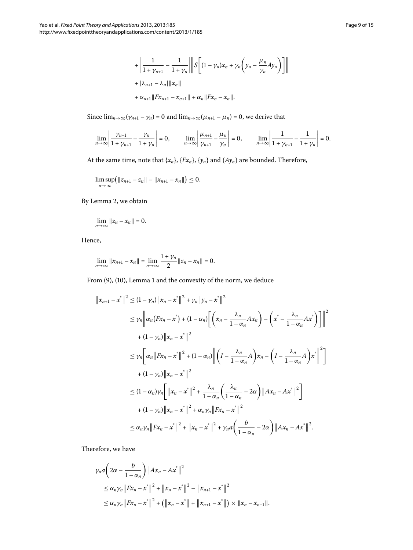Since  $\lim_{n\to\infty} (\gamma_{n+1} - \gamma_n) = 0$  and  $\lim_{n\to\infty} (\mu_{n+1} - \mu_n) = 0$ , we derive that

$$
\lim_{n \to \infty} \left| \frac{\gamma_{n+1}}{1 + \gamma_{n+1}} - \frac{\gamma_n}{1 + \gamma_n} \right| = 0, \qquad \lim_{n \to \infty} \left| \frac{\mu_{n+1}}{\gamma_{n+1}} - \frac{\mu_n}{\gamma_n} \right| = 0, \qquad \lim_{n \to \infty} \left| \frac{1}{1 + \gamma_{n+1}} - \frac{1}{1 + \gamma_n} \right| = 0.
$$

At the same time, note that  $\{x_n\}$ ,  $\{Fx_n\}$ ,  $\{y_n\}$  and  $\{Ay_n\}$  are bounded. Therefore,

$$
\limsup_{n\to\infty} (||z_{n+1}-z_n||-||x_{n+1}-x_n||)\leq 0.
$$

#### By Lemma 2, we obtain

$$
\lim_{n\to\infty}||z_n-x_n||=0.
$$

Hence,

$$
\lim_{n\to\infty}||x_{n+1}-x_n|| = \lim_{n\to\infty}\frac{1+\gamma_n}{2}||z_n-x_n|| = 0.
$$

From  $(9)$  $(9)$ ,  $(10)$ , Lemma 1 and the convexity of the norm, we deduce

$$
||x_{n+1} - x^*||^2 \le (1 - \gamma_n) ||x_n - x^*||^2 + \gamma_n ||y_n - x^*||^2
$$
  
\n
$$
\le \gamma_n ||\alpha_n (Fx_n - x^*) + (1 - \alpha_n) \Big[ \Big( x_n - \frac{\lambda_n}{1 - \alpha_n} Ax_n \Big) - \Big( x^* - \frac{\lambda_n}{1 - \alpha_n} Ax^* \Big) \Big] \Big\|^2
$$
  
\n
$$
+ (1 - \gamma_n) ||x_n - x^*||^2
$$
  
\n
$$
\le \gamma_n \Big[ \alpha_n ||Fx_n - x^*||^2 + (1 - \alpha_n) || \Big( I - \frac{\lambda_n}{1 - \alpha_n} A \Big) x_n - \Big( I - \frac{\lambda_n}{1 - \alpha_n} A \Big) x^* \Big\|^2 \Big]
$$
  
\n
$$
+ (1 - \gamma_n) ||x_n - x^*||^2
$$
  
\n
$$
\le (1 - \alpha_n) \gamma_n \Big[ ||x_n - x^*||^2 + \frac{\lambda_n}{1 - \alpha_n} \Big( \frac{\lambda_n}{1 - \alpha_n} - 2\alpha \Big) ||Ax_n - Ax^*||^2 \Big]
$$
  
\n
$$
+ (1 - \gamma_n) ||x_n - x^*||^2 + \alpha_n \gamma_n ||Fx_n - x^*||^2
$$
  
\n
$$
\le \alpha_n \gamma_n ||Fx_n - x^*||^2 + ||x_n - x^*||^2 + \gamma_n a \Big( \frac{b}{1 - \alpha_n} - 2\alpha \Big) ||Ax_n - Ax^*||^2.
$$

Therefore, we have

$$
\gamma_n a \left( 2\alpha - \frac{b}{1 - \alpha_n} \right) \|Ax_n - Ax^*\|^2
$$
  
\n
$$
\leq \alpha_n \gamma_n \|Fx_n - x^*\|^2 + \|x_n - x^*\|^2 - \|x_{n+1} - x^*\|^2
$$
  
\n
$$
\leq \alpha_n \gamma_n \|Fx_n - x^*\|^2 + (\|x_n - x^*\| + \|x_{n+1} - x^*\|) \times \|x_n - x_{n+1}\|.
$$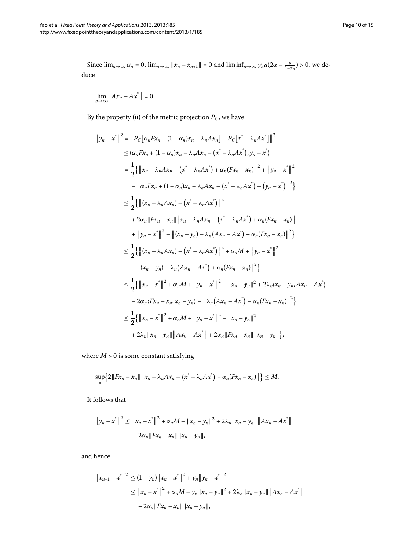Since  $\lim_{n\to\infty} \alpha_n = 0$ ,  $\lim_{n\to\infty} ||x_n - x_{n+1}|| = 0$  and  $\liminf_{n\to\infty} \gamma_n a (2\alpha - \frac{b}{1-\alpha_n}) > 0$ , we deduce

$$
\lim_{n\to\infty}||Ax_n-Ax^*||=0.
$$

By the property (ii) of the metric projection  $P_C$ , we have

$$
||y_n - x^*||^2 = ||P_C[\alpha_n F x_n + (1 - \alpha_n)x_n - \lambda_n A x_n] - P_C[x^* - \lambda_n A x^*]||^2
$$
  
\n
$$
\leq \langle \alpha_n F x_n + (1 - \alpha_n)x_n - \lambda_n A x_n - (x^* - \lambda_n A x^*), y_n - x^* \rangle
$$
  
\n
$$
= \frac{1}{2} \{ ||x_n - \lambda_n A x_n - (x^* - \lambda_n A x^*) + \alpha_n (F x_n - x_n) ||^2 + ||y_n - x^*||^2
$$
  
\n
$$
- ||\alpha_n F x_n + (1 - \alpha_n)x_n - \lambda_n A x_n - (x^* - \lambda_n A x^*) - (y_n - x^*) ||^2 \}
$$
  
\n
$$
\leq \frac{1}{2} \{ ||(x_n - \lambda_n A x_n) - (x^* - \lambda_n A x^*) ||^2
$$
  
\n
$$
+ 2\alpha_n ||F x_n - x_n || ||x_n - \lambda_n A x_n - (x^* - \lambda_n A x^*) + \alpha_n (F x_n - x_n) ||
$$
  
\n
$$
+ ||y_n - x^*||^2 - ||(x_n - y_n) - \lambda_n (A x_n - A x^*) + \alpha_n (F x_n - x_n) ||^2 \}
$$
  
\n
$$
\leq \frac{1}{2} \{ ||(x_n - \lambda_n A x_n) - (x^* - \lambda_n A x^*) ||^2 + \alpha_n M + ||y_n - x^*||^2
$$
  
\n
$$
- ||(x_n - y_n) - \lambda_n (A x_n - A x^*) + \alpha_n (F x_n - x_n) ||^2 \}
$$
  
\n
$$
\leq \frac{1}{2} \{ ||x_n - x^*||^2 + \alpha_n M + ||y_n - x^*||^2 - ||x_n - y_n||^2 + 2\lambda_n |x_n - y_n A x_n - A x^* \rangle
$$
  
\n
$$
- 2\alpha_n (F x_n - x_n, x_n - y_n) - ||\lambda_n (A x_n - A x^*) - \alpha_n (F x_n - x_n) ||^2 \}
$$
  
\n
$$
\leq \frac{1}{2} \{ ||x_n - x^*||^2 + \alpha_n M + ||y_n - x^*||^2 - ||x_n - y_n||^2
$$
  
\n
$$
+ 2\lambda_n ||
$$

where  $M > 0$  is some constant satisfying

$$
\sup_n\big\{2\|Fx_n-x_n\|\,\big\|x_n-\lambda_nAx_n-\big(x^*-\lambda_nAx^*\big)+\alpha_n(Fx_n-x_n)\big\|\,\big\}\leq M.
$$

It follows that

$$
\|y_n - x^*\|^2 \le \|x_n - x^*\|^2 + \alpha_n M - \|x_n - y_n\|^2 + 2\lambda_n \|x_n - y_n\| \|Ax_n - Ax^*\|
$$
  
+  $2\alpha_n \|Fx_n - x_n\| \|x_n - y_n\|,$ 

and hence

$$
||x_{n+1} - x^*||^2 \le (1 - \gamma_n) ||x_n - x^*||^2 + \gamma_n ||y_n - x^*||^2
$$
  
\n
$$
\le ||x_n - x^*||^2 + \alpha_n M - \gamma_n ||x_n - y_n||^2 + 2\lambda_n ||x_n - y_n|| ||Ax_n - Ax^*||
$$
  
\n
$$
+ 2\alpha_n ||Px_n - x_n|| ||x_n - y_n||,
$$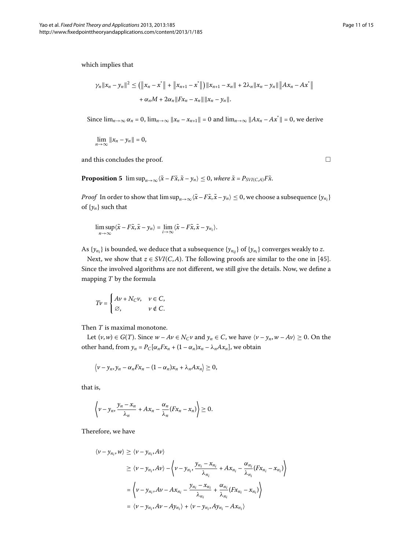which implies that

$$
\gamma_n \|x_n - y_n\|^2 \le \left( \|x_n - x^*\| + \|x_{n+1} - x^*\| \right) \|x_{n+1} - x_n\| + 2\lambda_n \|x_n - y_n\| \|Ax_n - Ax^*\| + \alpha_n M + 2\alpha_n \|Fx_n - x_n\| \|x_n - y_n\|.
$$

<span id="page-10-0"></span>Since  $\lim_{n\to\infty} \alpha_n = 0$ ,  $\lim_{n\to\infty} ||x_n - x_{n+1}|| = 0$  and  $\lim_{n\to\infty} ||Ax_n - Ax^*|| = 0$ , we derive

$$
\lim_{n\to\infty}||x_n-y_n||=0,
$$

and this concludes the proof.

**Proposition 5**  $\limsup_{n\to\infty} \langle \tilde{x} - F\tilde{x}, \tilde{x} - y_n \rangle \leq 0$ , where  $\tilde{x} = P_{SVI(C,A)}F\tilde{x}$ .

*Proof* In order to show that  $\limsup_{n\to\infty}\langle \tilde{x}-F\tilde{x},\tilde{x}-y_n\rangle\leq 0$ , we choose a subsequence  $\{y_{n_i}\}$ of  $\{y_n\}$  such that

$$
\limsup_{n\to\infty}\langle\tilde{x}-F\tilde{x},\tilde{x}-y_n\rangle=\lim_{i\to\infty}\langle\tilde{x}-F\tilde{x},\tilde{x}-y_{n_i}\rangle.
$$

As  $\{y_{n_i}\}$  is bounded, we deduce that a subsequence  $\{y_{n_{ij}}\}$  of  $\{y_{n_i}\}$  converges weakly to  $z.$ 

Next, we show that  $z \in SVI(C, A)$ . The following proofs are similar to the one in [45]. Since the involved algorithms are not different, we still give the details. Now, we define a mapping *T* by the formula

$$
Tv = \begin{cases} Av + N_C v, & v \in C, \\ \varnothing, & v \notin C. \end{cases}
$$

Then *T* is maximal monotone.

Let  $(v, w) \in G(T)$ . Since  $w - Av \in N_C v$  and  $y_n \in C$ , we have  $\langle v - y_n, w - Av \rangle \ge 0$ . On the other hand, from  $y_n = P_C[\alpha_n F x_n + (1 - \alpha_n)x_n - \lambda_n A x_n]$ , we obtain

$$
\langle v-y_n, y_n-\alpha_n F x_n-(1-\alpha_n)x_n+\lambda_n Ax_n\rangle\geq 0,
$$

that is,

$$
\left\langle v-y_n, \frac{y_n-x_n}{\lambda_n}+Ax_n-\frac{\alpha_n}{\lambda_n}(Fx_n-x_n)\right\rangle\geq 0.
$$

Therefore, we have

$$
\langle v - y_{n_i}, w \rangle \ge \langle v - y_{n_i}, Av \rangle
$$
  
\n
$$
\ge \langle v - y_{n_i}, Av \rangle - \langle v - y_{n_i}, \frac{y_{n_i} - x_{n_i}}{\lambda_{n_i}} + Ax_{n_i} - \frac{\alpha_{n_i}}{\lambda_{n_i}}(Fx_{n_i} - x_{n_i}) \rangle
$$
  
\n
$$
= \langle v - y_{n_i}, Av - Ax_{n_i} - \frac{y_{n_i} - x_{n_i}}{\lambda_{n_i}} + \frac{\alpha_{n_i}}{\lambda_{n_i}}(Fx_{n_i} - x_{n_i}) \rangle
$$
  
\n
$$
= \langle v - y_{n_i}, Av - Ay_{n_i} \rangle + \langle v - y_{n_i}, Ay_{n_i} - Ax_{n_i} \rangle
$$

 $\Box$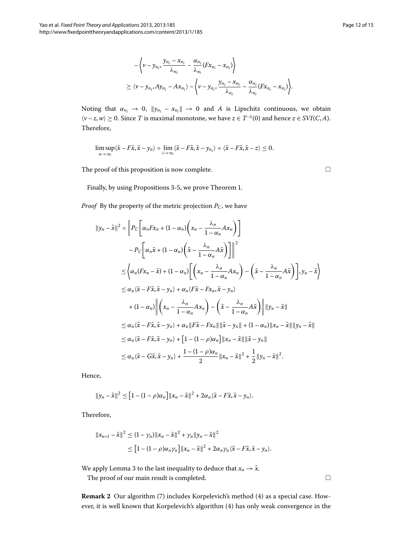$$
-\left\langle \nu - y_{n_i}, \frac{y_{n_i} - x_{n_i}}{\lambda_{n_i}} - \frac{\alpha_{n_i}}{\lambda_{n_i}} (Fx_{n_i} - x_{n_i}) \right\rangle
$$
  
\n
$$
\geq \left\langle \nu - y_{n_i}, Ay_{n_i} - Ax_{n_i} \right\rangle - \left\langle \nu - y_{n_i}, \frac{y_{n_i} - x_{n_i}}{\lambda_{n_i}} - \frac{\alpha_{n_i}}{\lambda_{n_i}} (Fx_{n_i} - x_{n_i}) \right\rangle.
$$

Noting that  $\alpha_{n_i} \to 0$ ,  $\|y_{n_i} - x_{n_i}\| \to 0$  and A is Lipschitz continuous, we obtain  $\langle v - z, w \rangle$  ≥ 0. Since *T* is maximal monotone, we have *z* ∈ *T*<sup>-1</sup>(0) and hence *z* ∈ *SVI*(*C*,*A*). Therefore,

$$
\limsup_{n\to\infty}\langle\tilde{x}-F\tilde{x},\tilde{x}-y_n\rangle=\lim_{i\to\infty}\langle\tilde{x}-F\tilde{x},\tilde{x}-y_{n_i}\rangle=\langle\tilde{x}-F\tilde{x},\tilde{x}-z\rangle\leq 0.
$$

The proof of this proposition is now complete.

Finally, by using Propositions 3-5, we prove Theorem 1[.](#page-4-3)

*Proof* By the property of the metric projection  $P_C$ , we have

$$
||y_n - \tilde{x}||^2 = \left||P_C\left[\alpha_n F x_n + (1 - \alpha_n)\left(x_n - \frac{\lambda_n}{1 - \alpha_n} A x_n\right)\right]\right|
$$
  
\n
$$
- P_C\left[\alpha_n \tilde{x} + (1 - \alpha_n)\left(\tilde{x} - \frac{\lambda_n}{1 - \alpha_n} A \tilde{x}\right)\right]\right||^2
$$
  
\n
$$
\leq \left\langle \alpha_n (F x_n - \tilde{x}) + (1 - \alpha_n)\left[\left(x_n - \frac{\lambda_n}{1 - \alpha_n} A x_n\right) - \left(\tilde{x} - \frac{\lambda_n}{1 - \alpha_n} A \tilde{x}\right)\right], y_n - \tilde{x}\right\rangle
$$
  
\n
$$
\leq \alpha_n \langle \tilde{x} - F \tilde{x}, \tilde{x} - y_n \rangle + \alpha_n \langle F \tilde{x} - F x_n, \tilde{x} - y_n \rangle
$$
  
\n
$$
+ (1 - \alpha_n)\left\| \left(x_n - \frac{\lambda_n}{1 - \alpha_n} A x_n\right) - \left(\tilde{x} - \frac{\lambda_n}{1 - \alpha_n} A \tilde{x}\right)\right\| \|y_n - \tilde{x}\|
$$
  
\n
$$
\leq \alpha_n \langle \tilde{x} - F \tilde{x}, \tilde{x} - y_n \rangle + \alpha_n \|F \tilde{x} - F x_n\| \|\tilde{x} - y_n\| + (1 - \alpha_n) \|x_n - \tilde{x}\|\|y_n - \tilde{x}\|
$$
  
\n
$$
\leq \alpha_n \langle \tilde{x} - F \tilde{x}, \tilde{x} - y_n \rangle + [1 - (1 - \rho)\alpha_n] \|x_n - \tilde{x}\| \|\tilde{x} - y_n\|
$$
  
\n
$$
\leq \alpha_n \langle \tilde{x} - G \tilde{x}, \tilde{x} - y_n \rangle + \frac{1 - (1 - \rho)\alpha_n}{2} \|x_n - \tilde{x}\|^2 + \frac{1}{2} \|y_n - \tilde{x}\|^2.
$$

Hence,

$$
\|y_n-\tilde{x}\|^2\leq \left[1-(1-\rho)\alpha_n\right]\|x_n-\tilde{x}\|^2+2\alpha_n\langle\tilde{x}-F\tilde{x},\tilde{x}-y_n\rangle.
$$

Therefore,

$$
||x_{n+1}-\tilde{x}||^2 \le (1-\gamma_n)||x_n-\tilde{x}||^2 + \gamma_n ||y_n-\tilde{x}||^2
$$
  
\n
$$
\le [1-(1-\rho)\alpha_n\gamma_n]||x_n-\tilde{x}||^2 + 2\alpha_n\gamma_n\langle\tilde{x}-F\tilde{x},\tilde{x}-y_n\rangle.
$$

We apply Lemma 3 to the last inequality to deduce that  $x_n \to \tilde{x}$ .

The proof of our main result is completed.

**Remark 2** Our algorithm (7[\)](#page-4-0) includes Korpelevich's method (4) as a special case. However, it is well known that Korpelevich's algorithm (4) has only weak convergence in the

 $\Box$ 

 $\Box$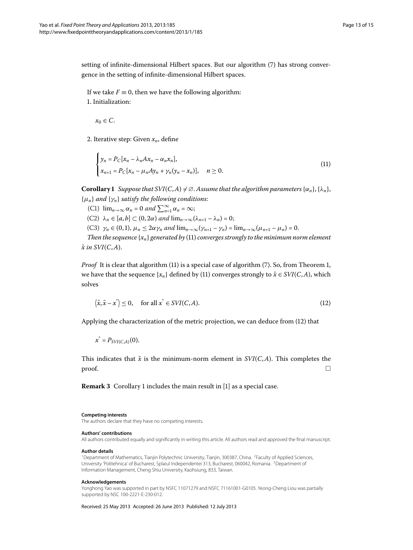setting of infinite-dimensional Hilbert spaces. But our algorithm (7[\)](#page-4-0) has strong convergence in the setting of infinite-dimensional Hilbert spaces.

<span id="page-12-3"></span>If we take  $F \equiv 0$ , then we have the following algorithm: . Initialization:

 $x_0 \in C$ .

<span id="page-12-5"></span>2. Iterative step: Given  $x_n$ , define

$$
\begin{cases}\n y_n = P_C[x_n - \lambda_n A x_n - \alpha_n x_n], \\
 x_{n+1} = P_C[x_n - \mu_n A y_n + \gamma_n (y_n - x_n)], \quad n \ge 0.\n\end{cases}
$$
\n(11)

**Corollary 1** Suppose that  $SVI(C, A) \neq \emptyset$ . Assume that the algorithm parameters  $\{\alpha_n\}$ ,  $\{\lambda_n\}$ , {*μn*} *and* {*γn*} *satisfy the following conditions*:

- (C1)  $\lim_{n\to\infty} \alpha_n = 0$  and  $\sum_{n=1}^{\infty} \alpha_n = \infty;$
- $(C2)$   $\lambda_n \in [a, b] \subset (0, 2\alpha)$  and  $\lim_{n \to \infty} (\lambda_{n+1} \lambda_n) = 0;$
- <span id="page-12-4"></span>(C3)  $\gamma_n \in (0,1)$ ,  $\mu_n \leq 2\alpha \gamma_n$  and  $\lim_{n\to\infty} (\gamma_{n+1} - \gamma_n) = \lim_{n\to\infty} (\mu_{n+1} - \mu_n) = 0$ .

*Then the sequence*  $\{x_n\}$  *generated by* (11[\)](#page-12-3) *converges strongly to the minimum norm element*  $\tilde{x}$  in  $SVI(C, A)$ .

*Proof* It is clear that algorithm [\(](#page-4-0)11) is a special case of algorithm (7). So[,](#page-4-3) from Theorem 1, we have that the sequence  $\{x_n\}$  defined by [\(](#page-12-3)11) converges strongly to  $\tilde{x} \in SVI(C,A)$ , which solves

$$
\langle \tilde{x}, \tilde{x} - x^* \rangle \le 0, \quad \text{for all } x^* \in SVI(C, A). \tag{12}
$$

Applying the characterization of the metric projection, we can deduce from (12) that

<span id="page-12-2"></span><span id="page-12-1"></span> $x^* = P_{SVI(C,A)}(0)$ .

This indicates that  $\tilde{x}$  is the minimum-norm element in  $SVI(C, A)$ . This completes the proof.  $\hfill\Box$ 

<span id="page-12-0"></span>**Remark 3** Corollary 1 includes the main result in [1[\]](#page-13-0) as a special case.

#### **Competing interests**

The authors declare that they have no competing interests.

#### **Authors' contributions**

All authors contributed equally and significantly in writing this article. All authors read and approved the final manuscript.

#### **Author details**

<sup>1</sup> Department of Mathematics, Tianjin Polytechnic University, Tianjin, 300387, China. <sup>2</sup>Faculty of Applied Sciences, University 'Politehnica' of Bucharest, Splaiul Independentei 313, Bucharest, 060042, Romania. 3Department of Information Management, Cheng Shiu University, Kaohsiung, 833, Taiwan.

#### **Acknowledgements**

Yonghong Yao was supported in part by NSFC 11071279 and NSFC 71161001-G0105. Yeong-Cheng Liou was partially supported by NSC 100-2221-E-230-012.

Received: 25 May 2013 Accepted: 26 June 2013 Published: 12 July 2013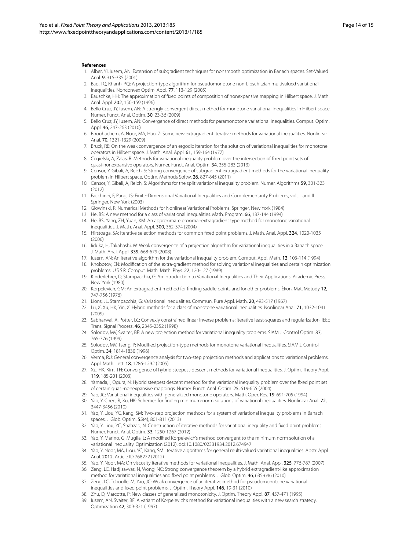#### <span id="page-13-6"></span><span id="page-13-0"></span>**References**

- 1. Alber, YI, Iusem, AN: Extension of subgradient techniques for nonsmooth optimization in Banach spaces. Set-Valued Anal. 9, 315-335 (2001)
- 2. Bao, TQ, Khanh, PQ: A projection-type algorithm for pseudomonotone non-Lipschitzian multivalued variational inequalities. Nonconvex Optim. Appl. 77, 113-129 (2005)
- 3. Bauschke, HH: The approximation of fixed points of composition of nonexpansive mapping in Hilbert space. J. Math. Anal. Appl. 202, 150-159 (1996)
- 4. Bello Cruz, JY, Iusem, AN: A strongly convergent direct method for monotone variational inequalities in Hilbert space. Numer. Funct. Anal. Optim. 30, 23-36 (2009)
- 5. Bello Cruz, JY, Iusem, AN: Convergence of direct methods for paramonotone variational inequalities. Comput. Optim. Appl. 46, 247-263 (2010)
- 6. Bnouhachem, A, Noor, MA, Hao, Z: Some new extragradient iterative methods for variational inequalities. Nonlinear Anal. 70, 1321-1329 (2009)
- 7. Bruck, RE: On the weak convergence of an ergodic iteration for the solution of variational inequalities for monotone operators in Hilbert space. J. Math. Anal. Appl. 61, 159-164 (1977)
- 8. Cegielski, A, Zalas, R: Methods for variational inequality problem over the intersection of fixed point sets of quasi-nonexpansive operators. Numer. Funct. Anal. Optim. 34, 255-283 (2013)
- 9. Censor, Y, Gibali, A, Reich, S: Strong convergence of subgradient extragradient methods for the variational inequality problem in Hilbert space. Optim. Methods Softw. 26, 827-845 (2011)
- 10. Censor, Y, Gibali, A, Reich, S: Algorithms for the split variational inequality problem. Numer. Algorithms 59, 301-323 (2012)
- <span id="page-13-4"></span>11. Facchinei, F, Pang, JS: Finite-Dimensional Variational Inequalities and Complementarity Problems, vols. I and II. Springer, New York (2003)
- 12. Glowinski, R: Numerical Methods for Nonlinear Variational Problems. Springer, New York (1984)
- 13. He, BS: A new method for a class of variational inequalities. Math. Program. 66, 137-144 (1994)
- <span id="page-13-2"></span>14. He, BS, Yang, ZH, Yuan, XM: An approximate proximal-extragradient type method for monotone variational inequalities. J. Math. Anal. Appl. 300, 362-374 (2004)
- 15. Hirstoaga, SA: Iterative selection methods for common fixed point problems. J. Math. Anal. Appl. 324, 1020-1035 (2006)
- 16. Iiduka, H, Takahashi, W: Weak convergence of a projection algorithm for variational inequalities in a Banach space. J. Math. Anal. Appl. 339, 668-679 (2008)
- 17. Iusem, AN: An iterative algorithm for the variational inequality problem. Comput. Appl. Math. 13, 103-114 (1994)
- 18. Khobotov, EN: Modification of the extra-gradient method for solving variational inequalities and certain optimization problems. U.S.S.R. Comput. Math. Math. Phys. 27, 120-127 (1989)
- 19. Kinderlehrer, D, Stampacchia, G: An Introduction to Variational Inequalities and Their Applications. Academic Press, New York (1980)
- 20. Korpelevich, GM: An extragradient method for finding saddle points and for other problems. Èkon. Mat. Metody 12, 747-756 (1976)
- 21. Lions, JL, Stampacchia, G: Variational inequalities. Commun. Pure Appl. Math. 20, 493-517 (1967)
- 22. Lu, X, Xu, HK, Yin, X: Hybrid methods for a class of monotone variational inequalities. Nonlinear Anal. 71, 1032-1041 (2009)
- 23. Sabharwal, A, Potter, LC: Convexly constrained linear inverse problems: iterative least-squares and regularization. IEEE Trans. Signal Process. 46, 2345-2352 (1998)
- 24. Solodov, MV, Svaiter, BF: A new projection method for variational inequality problems. SIAM J. Control Optim. 37, 765-776 (1999)
- 25. Solodov, MV, Tseng, P: Modified projection-type methods for monotone variational inequalities. SIAM J. Control Optim. 34, 1814-1830 (1996)
- 26. Verma, RU: General convergence analysis for two-step projection methods and applications to variational problems. Appl. Math. Lett. 18, 1286-1292 (2005)
- <span id="page-13-5"></span>27. Xu, HK, Kim, TH: Convergence of hybrid steepest-descent methods for variational inequalities. J. Optim. Theory Appl. 119, 185-201 (2003)
- 28. Yamada, I, Ogura, N: Hybrid steepest descent method for the variational inequality problem over the fixed point set of certain quasi-nonexpansive mappings. Numer. Funct. Anal. Optim. 25, 619-655 (2004)
- 29. Yao, JC: Variational inequalities with generalized monotone operators. Math. Oper. Res. 19, 691-705 (1994)
- 30. Yao, Y, Chen, R, Xu, HK: Schemes for finding minimum-norm solutions of variational inequalities. Nonlinear Anal. 72, 3447-3456 (2010)
- 31. Yao, Y, Liou, YC, Kang, SM: Two-step projection methods for a system of variational inequality problems in Banach spaces. J. Glob. Optim. 55(4), 801-811 (2013)
- <span id="page-13-1"></span>32. Yao, Y, Liou, YC, Shahzad, N: Construction of iterative methods for variational inequality and fixed point problems. Numer. Funct. Anal. Optim. 33, 1250-1267 (2012)
- <span id="page-13-3"></span>33. Yao, Y, Marino, G, Muglia, L: A modified Korpelevich's method convergent to the minimum norm solution of a variational inequality. Optimization (2012). doi:[10.1080/02331934.2012.674947](http://dx.doi.org/10.1080/02331934.2012.674947)
- 34. Yao, Y, Noor, MA, Liou, YC, Kang, SM: Iterative algorithms for general multi-valued variational inequalities. Abstr. Appl. Anal. 2012, Article ID 768272 (2012)
- 35. Yao, Y, Noor, MA: On viscosity iterative methods for variational inequalities. J. Math. Anal. Appl. 325, 776-787 (2007)
- 36. Zeng, LC, Hadjisavvas, N, Wong, NC: Strong convergence theorem by a hybrid extragradient-like approximation method for variational inequalities and fixed point problems. J. Glob. Optim. 46, 635-646 (2010)
- 37. Zeng, LC, Teboulle, M, Yao, JC: Weak convergence of an iterative method for pseudomonotone variational inequalities and fixed point problems. J. Optim. Theory Appl. 146, 19-31 (2010)
- 38. Zhu, D, Marcotte, P: New classes of generalized monotonicity. J. Optim. Theory Appl. 87, 457-471 (1995)
- 39. Iusem, AN, Svaiter, BF: A variant of Korpelevich's method for variational inequalities with a new search strategy. Optimization 42, 309-321 (1997)